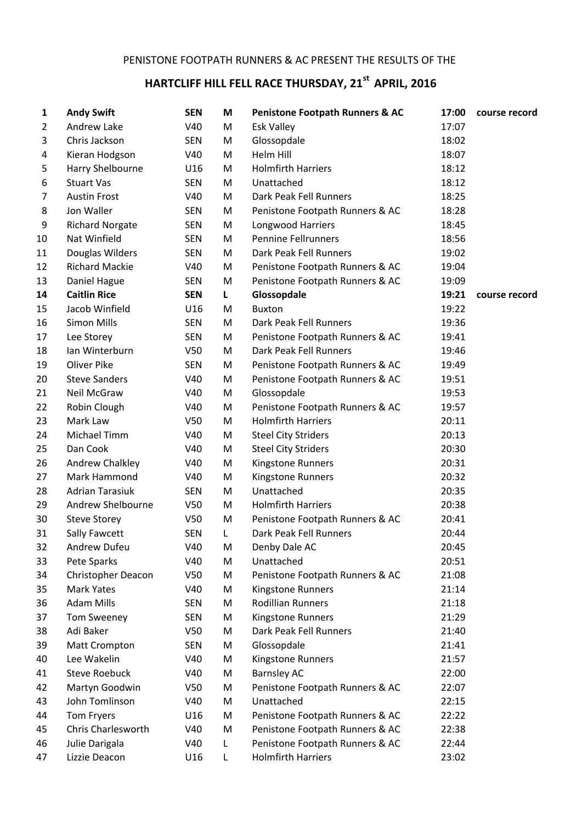## **HARTCLIFF HILL FELL RACE THURSDAY, 21st APRIL, 2016**

| 1              | <b>Andy Swift</b>         | <b>SEN</b>      | М  | <b>Penistone Footpath Runners &amp; AC</b> | 17:00 | course record |
|----------------|---------------------------|-----------------|----|--------------------------------------------|-------|---------------|
| $\overline{2}$ | Andrew Lake               | V40             | M  | <b>Esk Valley</b>                          | 17:07 |               |
| 3              | Chris Jackson             | <b>SEN</b>      | M  | Glossopdale                                | 18:02 |               |
| 4              | Kieran Hodgson            | V40             | M  | Helm Hill                                  | 18:07 |               |
| 5              | Harry Shelbourne          | U16             | M  | <b>Holmfirth Harriers</b>                  | 18:12 |               |
| 6              | <b>Stuart Vas</b>         | <b>SEN</b>      | M  | Unattached                                 | 18:12 |               |
| 7              | <b>Austin Frost</b>       | V40             | M  | Dark Peak Fell Runners                     | 18:25 |               |
| 8              | Jon Waller                | <b>SEN</b>      | M  | Penistone Footpath Runners & AC            | 18:28 |               |
| 9              | <b>Richard Norgate</b>    | <b>SEN</b>      | M  | Longwood Harriers                          | 18:45 |               |
| 10             | Nat Winfield              | <b>SEN</b>      | M  | <b>Pennine Fellrunners</b>                 | 18:56 |               |
| 11             | Douglas Wilders           | <b>SEN</b>      | M  | Dark Peak Fell Runners                     | 19:02 |               |
| 12             | <b>Richard Mackie</b>     | V40             | M  | Penistone Footpath Runners & AC            | 19:04 |               |
| 13             | Daniel Hague              | <b>SEN</b>      | M  | Penistone Footpath Runners & AC            | 19:09 |               |
| 14             | <b>Caitlin Rice</b>       | <b>SEN</b>      | L. | Glossopdale                                | 19:21 | course record |
| 15             | Jacob Winfield            | U16             | M  | <b>Buxton</b>                              | 19:22 |               |
| 16             | <b>Simon Mills</b>        | <b>SEN</b>      | M  | Dark Peak Fell Runners                     | 19:36 |               |
| 17             | Lee Storey                | <b>SEN</b>      | M  | Penistone Footpath Runners & AC            | 19:41 |               |
| 18             | Ian Winterburn            | V <sub>50</sub> | M  | Dark Peak Fell Runners                     | 19:46 |               |
| 19             | Oliver Pike               | <b>SEN</b>      | M  | Penistone Footpath Runners & AC            | 19:49 |               |
| 20             | <b>Steve Sanders</b>      | V40             | M  | Penistone Footpath Runners & AC            | 19:51 |               |
| 21             | Neil McGraw               | V40             | M  | Glossopdale                                | 19:53 |               |
| 22             | Robin Clough              | V40             | M  | Penistone Footpath Runners & AC            | 19:57 |               |
| 23             | Mark Law                  | V <sub>50</sub> | M  | <b>Holmfirth Harriers</b>                  | 20:11 |               |
| 24             | Michael Timm              | V40             | M  | <b>Steel City Striders</b>                 | 20:13 |               |
| 25             | Dan Cook                  | V40             | M  | <b>Steel City Striders</b>                 | 20:30 |               |
| 26             | Andrew Chalkley           | V40             | M  | Kingstone Runners                          | 20:31 |               |
| 27             | Mark Hammond              | V40             | M  | Kingstone Runners                          | 20:32 |               |
| 28             | <b>Adrian Tarasiuk</b>    | <b>SEN</b>      | M  | Unattached                                 | 20:35 |               |
| 29             | Andrew Shelbourne         | V <sub>50</sub> | M  | <b>Holmfirth Harriers</b>                  | 20:38 |               |
| 30             | <b>Steve Storey</b>       | V50             | M  | Penistone Footpath Runners & AC            | 20:41 |               |
| 31             | Sally Fawcett             | <b>SEN</b>      | L  | Dark Peak Fell Runners                     | 20:44 |               |
| 32             | Andrew Dufeu              | V40             | M  | Denby Dale AC                              | 20:45 |               |
| 33             | Pete Sparks               | V40             | M  | Unattached                                 | 20:51 |               |
| 34             | <b>Christopher Deacon</b> | V50             | M  | Penistone Footpath Runners & AC            | 21:08 |               |
| 35             | <b>Mark Yates</b>         | V40             | M  | Kingstone Runners                          | 21:14 |               |
| 36             | <b>Adam Mills</b>         | <b>SEN</b>      | M  | <b>Rodillian Runners</b>                   | 21:18 |               |
| 37             | Tom Sweeney               | <b>SEN</b>      | M  | Kingstone Runners                          | 21:29 |               |
| 38             | Adi Baker                 | V50             | M  | Dark Peak Fell Runners                     | 21:40 |               |
| 39             | Matt Crompton             | <b>SEN</b>      | M  | Glossopdale                                | 21:41 |               |
| 40             | Lee Wakelin               | V40             | M  | Kingstone Runners                          | 21:57 |               |
| 41             | <b>Steve Roebuck</b>      | V40             | M  | <b>Barnsley AC</b>                         | 22:00 |               |
| 42             | Martyn Goodwin            | V50             | M  | Penistone Footpath Runners & AC            | 22:07 |               |
| 43             | John Tomlinson            | V40             | M  | Unattached                                 | 22:15 |               |
| 44             | Tom Fryers                | U16             | M  | Penistone Footpath Runners & AC            | 22:22 |               |
| 45             | <b>Chris Charlesworth</b> | <b>V40</b>      | M  | Penistone Footpath Runners & AC            | 22:38 |               |
| 46             | Julie Darigala            | V40             | L  | Penistone Footpath Runners & AC            | 22:44 |               |
| 47             | Lizzie Deacon             | U16             | L  | <b>Holmfirth Harriers</b>                  | 23:02 |               |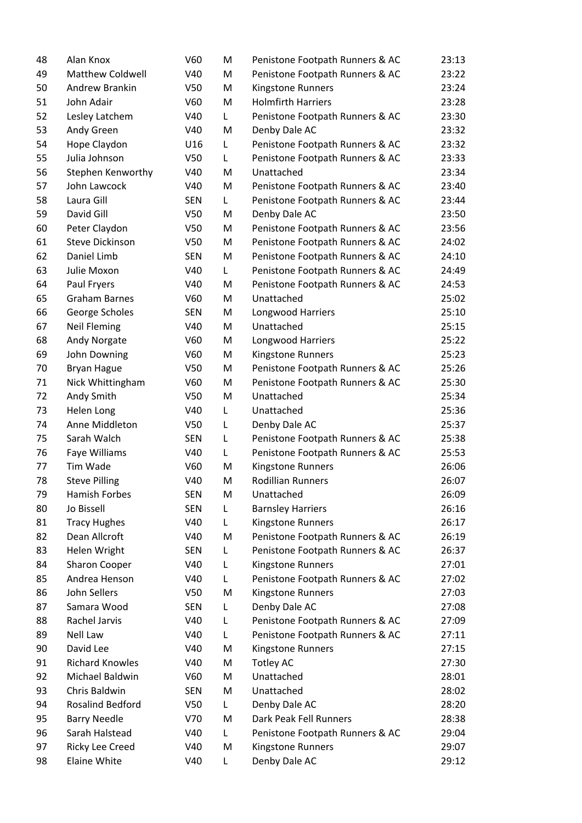| 48 | Alan Knox               | V60             | M  | Penistone Footpath Runners & AC | 23:13 |
|----|-------------------------|-----------------|----|---------------------------------|-------|
| 49 | <b>Matthew Coldwell</b> | V40             | M  | Penistone Footpath Runners & AC | 23:22 |
| 50 | Andrew Brankin          | V50             | M  | Kingstone Runners               | 23:24 |
| 51 | John Adair              | V60             | M  | <b>Holmfirth Harriers</b>       | 23:28 |
| 52 | Lesley Latchem          | V40             | L  | Penistone Footpath Runners & AC | 23:30 |
| 53 | Andy Green              | V40             | M  | Denby Dale AC                   | 23:32 |
| 54 | Hope Claydon            | U16             | L  | Penistone Footpath Runners & AC | 23:32 |
| 55 | Julia Johnson           | V <sub>50</sub> | L  | Penistone Footpath Runners & AC | 23:33 |
| 56 | Stephen Kenworthy       | V40             | M  | Unattached                      | 23:34 |
| 57 | John Lawcock            | V40             | M  | Penistone Footpath Runners & AC | 23:40 |
| 58 | Laura Gill              | <b>SEN</b>      | L. | Penistone Footpath Runners & AC | 23:44 |
| 59 | David Gill              | V <sub>50</sub> | M  | Denby Dale AC                   | 23:50 |
| 60 | Peter Claydon           | V50             | M  | Penistone Footpath Runners & AC | 23:56 |
| 61 | <b>Steve Dickinson</b>  | V50             | M  | Penistone Footpath Runners & AC | 24:02 |
| 62 | Daniel Limb             | <b>SEN</b>      | M  | Penistone Footpath Runners & AC | 24:10 |
| 63 | Julie Moxon             | V40             | L. | Penistone Footpath Runners & AC | 24:49 |
| 64 | Paul Fryers             | V40             | M  | Penistone Footpath Runners & AC | 24:53 |
| 65 | <b>Graham Barnes</b>    | V60             | M  | Unattached                      | 25:02 |
| 66 | George Scholes          | <b>SEN</b>      | M  | Longwood Harriers               | 25:10 |
| 67 | <b>Neil Fleming</b>     | V40             | M  | Unattached                      | 25:15 |
| 68 | Andy Norgate            | V60             | M  | Longwood Harriers               | 25:22 |
| 69 | John Downing            | V60             | M  | Kingstone Runners               | 25:23 |
| 70 | <b>Bryan Hague</b>      | V50             | M  | Penistone Footpath Runners & AC | 25:26 |
| 71 | Nick Whittingham        | V60             | M  | Penistone Footpath Runners & AC | 25:30 |
| 72 | Andy Smith              | V <sub>50</sub> | M  | Unattached                      | 25:34 |
| 73 | Helen Long              | V40             | L  | Unattached                      | 25:36 |
| 74 | Anne Middleton          | V <sub>50</sub> | L  | Denby Dale AC                   | 25:37 |
| 75 | Sarah Walch             | <b>SEN</b>      | L  | Penistone Footpath Runners & AC | 25:38 |
| 76 | Faye Williams           | V40             | L  | Penistone Footpath Runners & AC | 25:53 |
| 77 | Tim Wade                | V60             | M  | Kingstone Runners               | 26:06 |
| 78 | <b>Steve Pilling</b>    | V40             | M  | <b>Rodillian Runners</b>        | 26:07 |
| 79 | Hamish Forbes           | <b>SEN</b>      | M  | Unattached                      | 26:09 |
| 80 | Jo Bissell              | <b>SEN</b>      | L  | <b>Barnsley Harriers</b>        | 26:16 |
| 81 | <b>Tracy Hughes</b>     | V40             | L  | Kingstone Runners               | 26:17 |
| 82 | Dean Allcroft           | V40             | M  | Penistone Footpath Runners & AC | 26:19 |
| 83 | Helen Wright            | <b>SEN</b>      | L  | Penistone Footpath Runners & AC | 26:37 |
| 84 | <b>Sharon Cooper</b>    | V40             | L  | Kingstone Runners               | 27:01 |
| 85 | Andrea Henson           | V40             | L  | Penistone Footpath Runners & AC | 27:02 |
| 86 | John Sellers            | V50             | M  | Kingstone Runners               | 27:03 |
| 87 | Samara Wood             | <b>SEN</b>      | L  | Denby Dale AC                   | 27:08 |
| 88 | Rachel Jarvis           | V40             | L  | Penistone Footpath Runners & AC | 27:09 |
| 89 | Nell Law                | V40             | L  | Penistone Footpath Runners & AC | 27:11 |
| 90 | David Lee               | V40             | M  | Kingstone Runners               | 27:15 |
| 91 | <b>Richard Knowles</b>  | V40             | M  | <b>Totley AC</b>                | 27:30 |
| 92 | Michael Baldwin         | V60             | M  | Unattached                      | 28:01 |
| 93 | Chris Baldwin           | <b>SEN</b>      | M  | Unattached                      | 28:02 |
| 94 | Rosalind Bedford        | V <sub>50</sub> | L. | Denby Dale AC                   | 28:20 |
| 95 | <b>Barry Needle</b>     | V70             | M  | Dark Peak Fell Runners          | 28:38 |
| 96 | Sarah Halstead          | V40             | L  | Penistone Footpath Runners & AC | 29:04 |
| 97 | Ricky Lee Creed         | V40             | M  | Kingstone Runners               | 29:07 |
| 98 | Elaine White            | V40             | L  | Denby Dale AC                   | 29:12 |